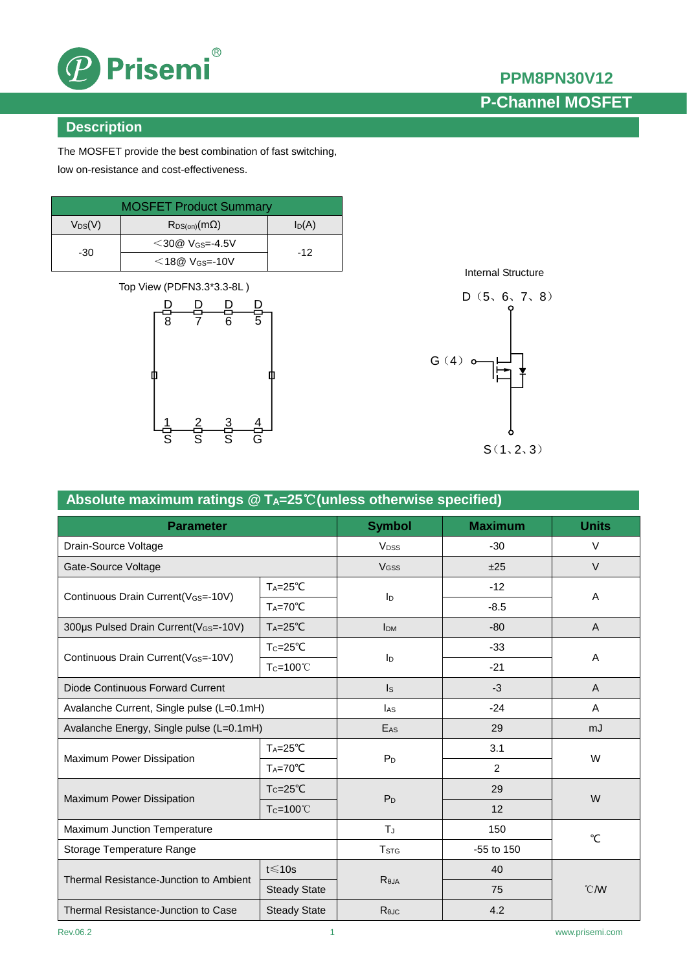

# **PPM8PN30V12**

# **P-Channel MOSFET**

### **Description**

The MOSFET provide the best combination of fast switching, low on-resistance and cost-effectiveness.

| <b>MOSFET Product Summary</b> |                                  |          |  |  |
|-------------------------------|----------------------------------|----------|--|--|
| $V_{DS}(V)$                   | $R_{DS(on)}(m\Omega)$            | $I_D(A)$ |  |  |
| -30                           | $<$ 30@ V <sub>GS</sub> =-4.5V   | $-12$    |  |  |
|                               | $<$ 18 $@$ V <sub>GS</sub> =-10V |          |  |  |

Top View (PDFN3.3\*3.3-8L )



[Internal Structure](app:ds:internal%20structure)



| Absolute maximum ratings $@$ T <sub>A</sub> =25°C (unless otherwise specified) |                      |                        |                |               |  |  |
|--------------------------------------------------------------------------------|----------------------|------------------------|----------------|---------------|--|--|
| <b>Parameter</b>                                                               | <b>Symbol</b>        | <b>Maximum</b>         | <b>Units</b>   |               |  |  |
| Drain-Source Voltage                                                           |                      | <b>V<sub>DSS</sub></b> | $-30$          | $\vee$        |  |  |
| Gate-Source Voltage                                                            |                      | <b>V<sub>GSS</sub></b> | ±25            | $\vee$        |  |  |
| Continuous Drain Current(VGS=-10V)                                             | $T_A = 25^{\circ}C$  | ID                     | $-12$          | A             |  |  |
|                                                                                | $T_A = 70^{\circ}C$  |                        | $-8.5$         |               |  |  |
| 300µs Pulsed Drain Current(VGS=-10V)                                           | $T_A = 25^{\circ}C$  | <b>I</b> <sub>DM</sub> | $-80$          | A             |  |  |
|                                                                                | $T_c = 25^{\circ}C$  | ID                     | $-33$          | A             |  |  |
| Continuous Drain Current (V <sub>GS</sub> =-10V)                               | T <sub>C</sub> =100℃ |                        | $-21$          |               |  |  |
| Diode Continuous Forward Current                                               |                      | Is                     | $-3$           | A             |  |  |
| Avalanche Current, Single pulse (L=0.1mH)                                      |                      | l <sub>AS</sub>        | $-24$          | A             |  |  |
| Avalanche Energy, Single pulse (L=0.1mH)                                       |                      | EAS                    | 29             | mJ            |  |  |
| Maximum Power Dissipation                                                      | $T_A = 25^{\circ}C$  | $P_D$                  | 3.1            | W             |  |  |
|                                                                                | $T_A = 70^{\circ}C$  |                        | $\overline{c}$ |               |  |  |
|                                                                                | $T_c = 25^{\circ}C$  | P <sub>D</sub>         | 29             | W             |  |  |
| Maximum Power Dissipation                                                      | T <sub>C</sub> =100℃ |                        | 12             |               |  |  |
| Maximum Junction Temperature                                                   |                      | $T_{J}$                | 150            | $^{\circ}C$   |  |  |
| Storage Temperature Range                                                      |                      | T <sub>STG</sub>       | $-55$ to $150$ |               |  |  |
| Thermal Resistance-Junction to Ambient                                         | $t \le 10s$          |                        | 40             | $^{\circ}$ CM |  |  |
|                                                                                | <b>Steady State</b>  | R <sub>0JA</sub>       | 75             |               |  |  |
| <b>Steady State</b><br>Thermal Resistance-Junction to Case                     |                      | ReJC                   | 4.2            |               |  |  |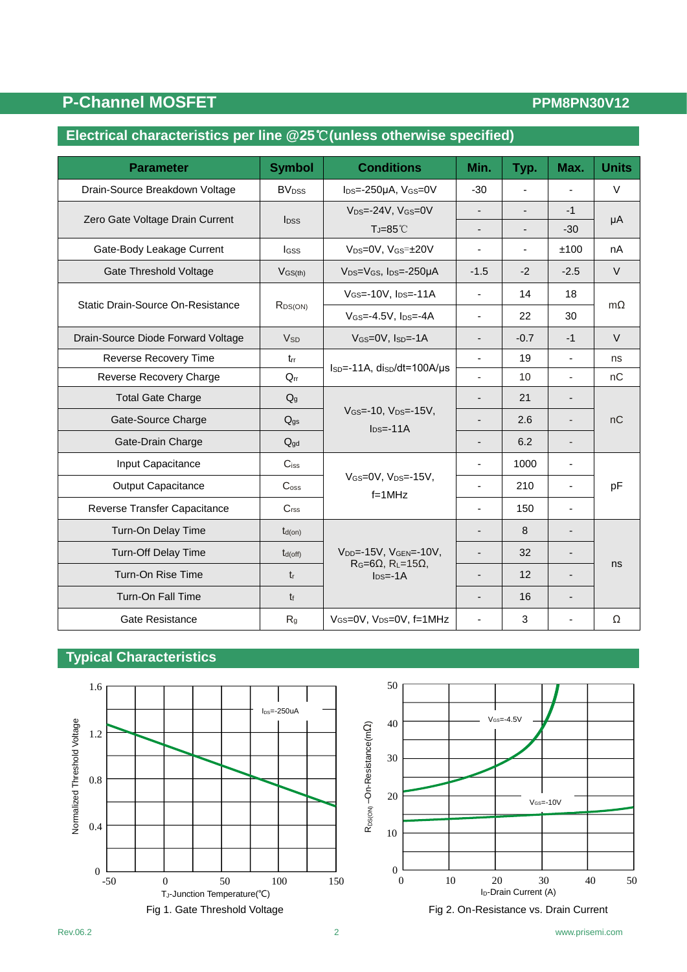## P-Channel MOSFET **PEDITS PEDITS PPM8PN30V12**

### **Electrical characteristics per line @25**℃**(unless otherwise specified)**

| <b>Parameter</b>                   | <b>Symbol</b>                      | <b>Conditions</b>                                                                                 | Min.                     | Typ.                     | Max.                     | <b>Units</b> |
|------------------------------------|------------------------------------|---------------------------------------------------------------------------------------------------|--------------------------|--------------------------|--------------------------|--------------|
| Drain-Source Breakdown Voltage     | <b>BV</b> <sub>DSS</sub>           | $I_{DS} = -250\mu A$ , $V_{GS} = 0V$                                                              | $-30$                    |                          |                          | $\vee$       |
| Zero Gate Voltage Drain Current    | <b>l</b> pss                       | $V_{DS} = -24V$ , $V_{GS} = 0V$                                                                   |                          |                          | $-1$                     | μA           |
|                                    |                                    | $T = 85^{\circ}$ C                                                                                | $\overline{\phantom{0}}$ | $\overline{\phantom{0}}$ | $-30$                    |              |
| Gate-Body Leakage Current          | Igss                               | V <sub>DS</sub> =0V, V <sub>GS</sub> =±20V                                                        |                          | $\blacksquare$           | ±100                     | nA           |
| Gate Threshold Voltage             | $V$ <sub>GS<math>(th)</math></sub> | V <sub>DS</sub> =V <sub>GS</sub> , I <sub>DS</sub> =-250µA                                        | $-1.5$                   | $-2$                     | $-2.5$                   | $\vee$       |
| Static Drain-Source On-Resistance  | R <sub>DS(ON)</sub>                | $V$ <sub>GS</sub> $=$ -10V, $I$ <sub>DS</sub> $=$ -11A                                            | $\blacksquare$           | 14                       | 18                       | $m\Omega$    |
|                                    |                                    | $V$ <sub>GS</sub> $=$ -4.5V, $I$ <sub>DS</sub> $=$ -4A                                            | $\blacksquare$           | 22                       | 30                       |              |
| Drain-Source Diode Forward Voltage | <b>V<sub>SD</sub></b>              | VGS=0V, ISD=-1A                                                                                   | $\overline{\phantom{0}}$ | $-0.7$                   | $-1$                     | $\vee$       |
| Reverse Recovery Time              | trr                                |                                                                                                   | $\blacksquare$           | 19                       | $\mathbf{r}$             | ns           |
| Reverse Recovery Charge            | $Q_{rr}$                           | $I_{SD} = -11A$ , disp/dt=100A/us                                                                 | ÷.                       | 10                       | $\mathbf{r}$             | nC           |
| <b>Total Gate Charge</b>           | $Q_g$                              |                                                                                                   |                          | 21                       |                          |              |
| Gate-Source Charge                 | $Q_{gs}$                           | $V_{GS} = -10$ , $V_{DS} = -15V$ ,<br>$\text{Ins} = -11A$                                         |                          | 2.6                      |                          | nC           |
| Gate-Drain Charge                  | $Q_{gd}$                           |                                                                                                   |                          | 6.2                      |                          |              |
| Input Capacitance                  | $C$ <sub>iss</sub>                 |                                                                                                   |                          | 1000                     | $\overline{\phantom{a}}$ |              |
| Output Capacitance                 | C <sub>oss</sub>                   | $V$ GS=0V, $V_{DS}$ =-15V,<br>$f = 1$ MHz                                                         | $\blacksquare$           | 210                      | $\blacksquare$           | pF           |
| Reverse Transfer Capacitance       | C <sub>rss</sub>                   |                                                                                                   | ÷.                       | 150                      | $\blacksquare$           |              |
| Turn-On Delay Time                 | $t_{d(on)}$                        |                                                                                                   | $\overline{\phantom{a}}$ | 8                        | $\overline{\phantom{0}}$ |              |
| Turn-Off Delay Time                | $t_{d(off)}$                       | V <sub>DD</sub> =-15V, V <sub>GEN</sub> =-10V,<br>$R_G=6\Omega$ , $R_L=15\Omega$ ,<br>$Ins = -1A$ |                          | 32                       | $\overline{\phantom{a}}$ | ns           |
| Turn-On Rise Time                  | $t_{r}$                            |                                                                                                   | $\overline{\phantom{0}}$ | 12                       | $\overline{\phantom{0}}$ |              |
| <b>Turn-On Fall Time</b>           | $t_{\rm f}$                        |                                                                                                   |                          | 16                       |                          |              |
| <b>Gate Resistance</b>             | R <sub>g</sub>                     | VGS=0V, VDS=0V, f=1MHz                                                                            |                          | 3                        |                          | Ω            |

### **Typical Characteristics**



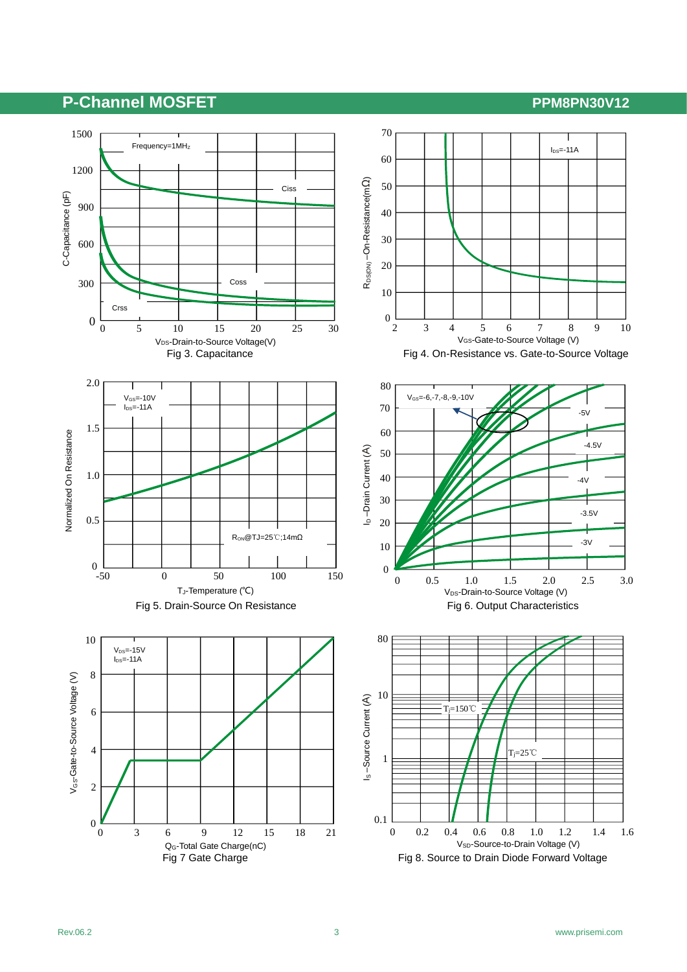### **P-Channel MOSFET P-Channel MOSFET**

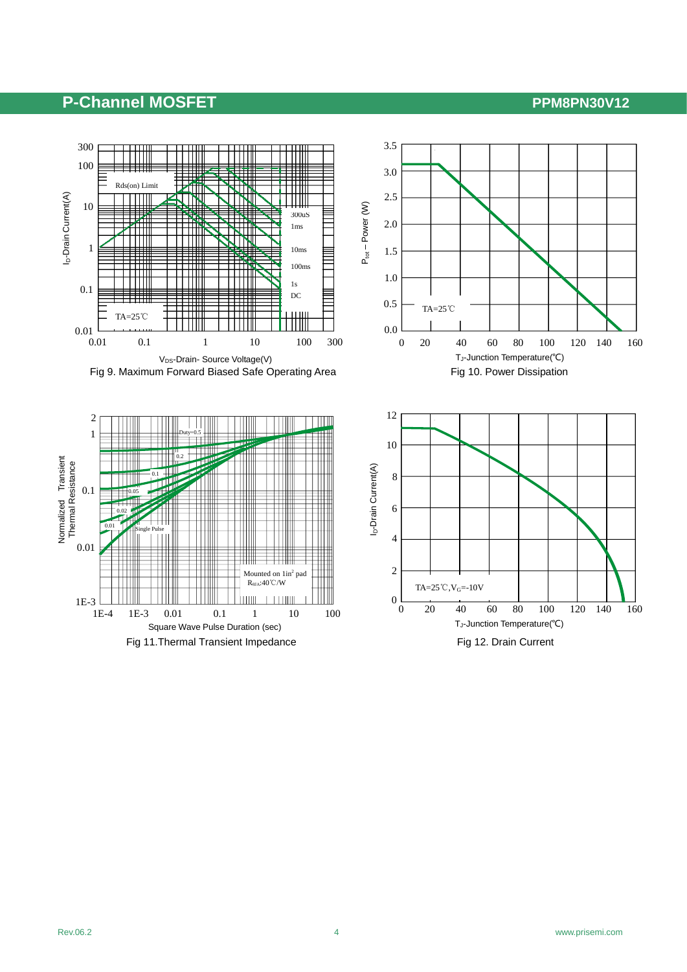### P-Channel MOSFET **PEDITS PPM8PN30V12**

2





Ptot – Power (W)

 $P_{tot} - Power (W)$ 

2.0

2.5

3.0

3.5

1.5



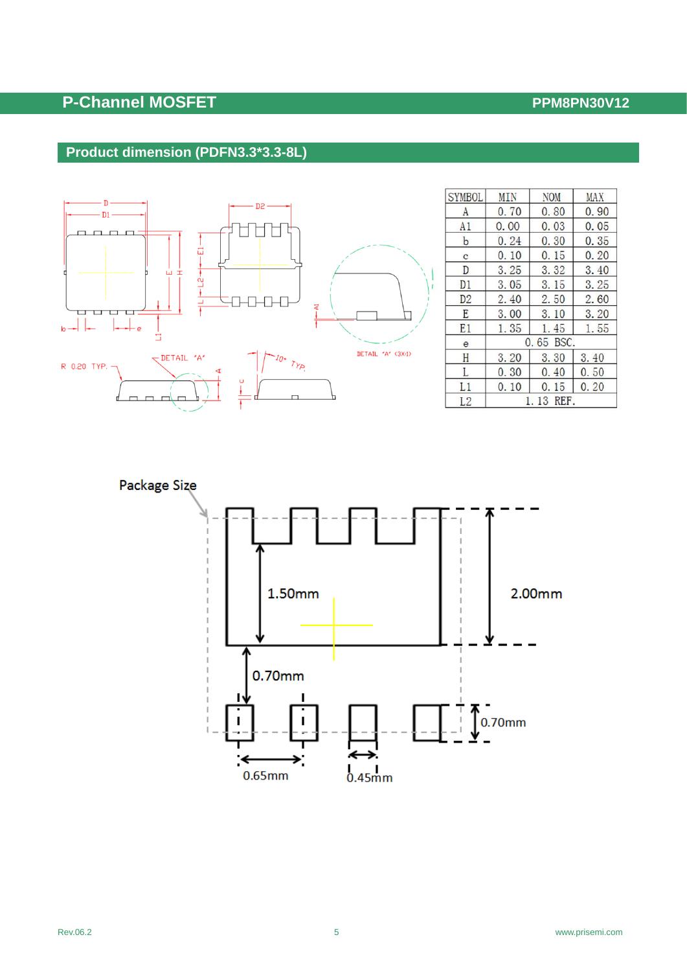## **P-Channel MOSFET P-Channel MOSFET**

### **Product dimension (PDFN3.3\*3.3-8L)**



| <b>SYMBOL</b>  | MIN  | <b>NOM</b>  | <b>MAX</b> |  |
|----------------|------|-------------|------------|--|
| A              | 0.70 | 0.80        | 0.90       |  |
| A1             | 0.00 | 0.03        | 0.05       |  |
| $\mathbf b$    | 0.24 | 0.30        | 0.35       |  |
| c              | 0.10 | 0.15        | 0.20       |  |
| D              | 3.25 | 3.32        | 3.40       |  |
| D1             | 3.05 | 3.15        | 3.25       |  |
| D <sub>2</sub> | 2.40 | 2.50        | 2.60       |  |
| E              | 3.00 | 3.10        | 3.20       |  |
| E1             | 1.35 | 1.45        | 1.55       |  |
| e              |      | $0.65$ BSC. |            |  |
| H              | 3.20 | 3.30        | 3.40       |  |
| L              | 0.30 | 0.40        | 0.50       |  |
| L1             | 0.10 | 0.15        | 0.20       |  |
| L2             |      | 1.13 REF.   |            |  |

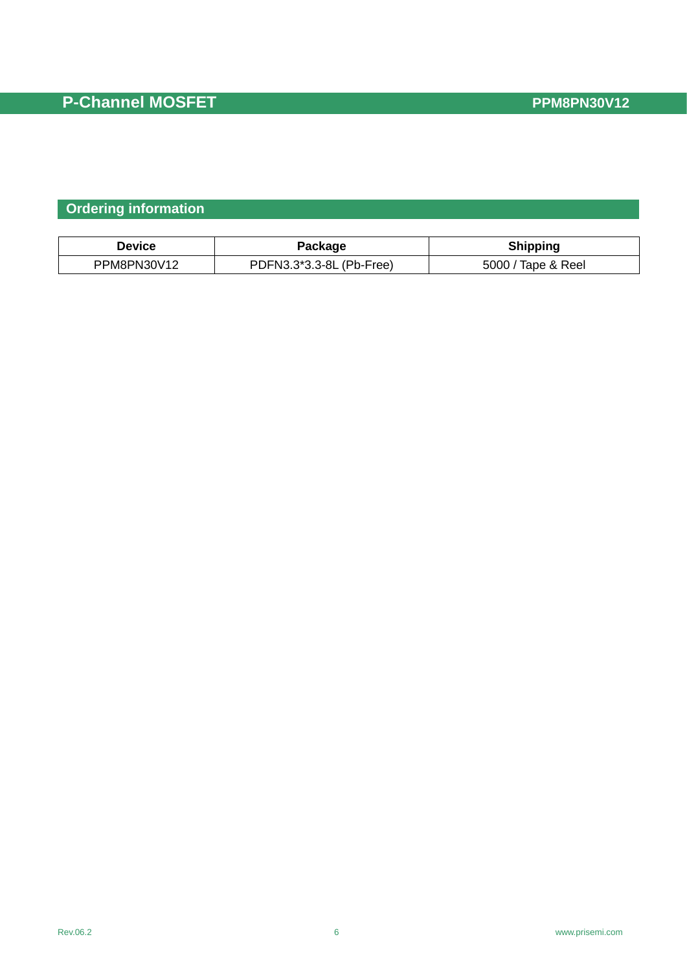### **Ordering information**

| Device      | Package                  | <b>Shipping</b>    |
|-------------|--------------------------|--------------------|
| PPM8PN30V12 | PDFN3.3*3.3-8L (Pb-Free) | 5000 / Tape & Reel |